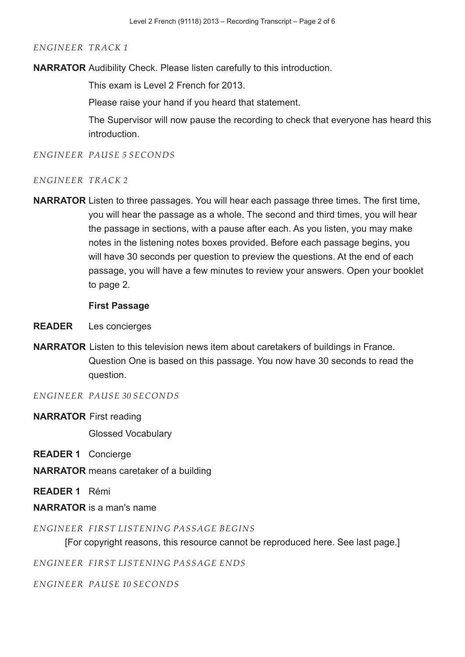**NARRATOR** Audibility Check. Please listen carefully to this introduction.

This exam is Level 2 French for 2013.

Please raise your hand if you heard that statement.

The Supervisor will now pause the recording to check that everyone has heard this introduction.

*ENGINEER PAUSE 5 SECONDS*

#### *ENGINEER TRACK 2*

**NARRATOR** Listen to three passages. You will hear each passage three times. The first time, you will hear the passage as a whole. The second and third times, you will hear the passage in sections, with a pause after each. As you listen, you may make notes in the listening notes boxes provided. Before each passage begins, you will have 30 seconds per question to preview the questions. At the end of each passage, you will have a few minutes to review your answers. Open your booklet to page 2.

#### **First Passage**

- **READER** Les concierges
- **NARRATOR** Listen to this television news item about caretakers of buildings in France. Question One is based on this passage. You now have 30 seconds to read the question.

*ENGINEER PAUSE 30 SECONDS*

**NARRATOR** First reading

Glossed Vocabulary

**READER 1** Concierge

**NARRATOR** means caretaker of a building

**READER 1** Rémi

**NARRATOR** is a man's name

*ENGINEER FIRST LISTENING PASSAGE BEGINS*

[For copyright reasons, this resource cannot be reproduced here. See last page.]

*ENGINEER FIRST LISTENING PASSAGE ENDS*

*ENGINEER PAUSE 10 SECONDS*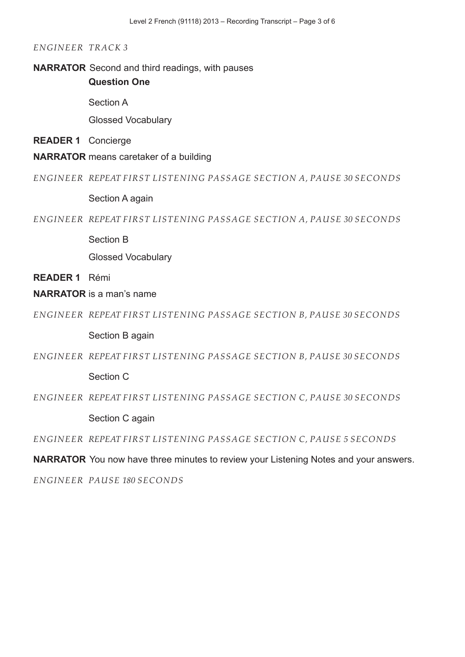#### **NARRATOR** Second and third readings, with pauses

**Question One**

Section A

Glossed Vocabulary

#### **READER 1** Concierge

**NARRATOR** means caretaker of a building

*ENGINEER REPEAT FIRST LISTENING PASSAGE SECTION A, PAUSE 30 SECONDS* 

Section A again

*ENGINEER REPEAT FIRST LISTENING PASSAGE SECTION A, PAUSE 30 SECONDS* 

Section B

Glossed Vocabulary

**READER 1** Rémi

## **NARRATOR** is a man's name

*ENGINEER REPEAT FIRST LISTENING PASSAGE SECTION B, PAUSE 30 SECONDS* 

Section B again

*ENGINEER REPEAT FIRST LISTENING PASSAGE SECTION B, PAUSE 30 SECONDS* 

Section C

*ENGINEER REPEAT FIRST LISTENING PASSAGE SECTION C, PAUSE 30 SECONDS* 

Section C again

*ENGINEER REPEAT FIRST LISTENING PASSAGE SECTION C, PAUSE 5 SECONDS* 

**NARRATOR** You now have three minutes to review your Listening Notes and your answers.

*ENGINEER PAUSE 180 SECONDS*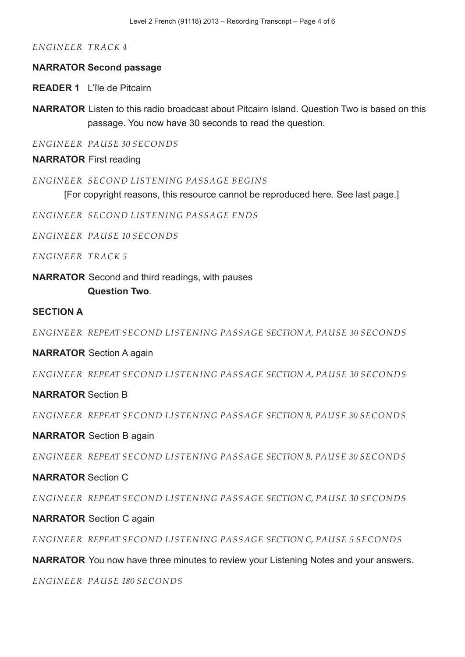#### **NARRATOR Second passage**

**READER 1** L'île de Pitcairn

**NARRATOR** Listen to this radio broadcast about Pitcairn Island. Question Two is based on this passage. You now have 30 seconds to read the question.

*ENGINEER PAUSE 30 SECONDS*

**NARRATOR** First reading

*ENGINEER SECOND LISTENING PASSAGE BEGINS*

[For copyright reasons, this resource cannot be reproduced here. See last page.]

*ENGINEER SECOND LISTENING PASSAGE ENDS*

*ENGINEER PAUSE 10 SECONDS*

*ENGINEER TRACK 5* 

**NARRATOR** Second and third readings, with pauses **Question Two**.

## **SECTION A**

*ENGINEER REPEAT SECOND LISTENING PASSAGE SECTION A, PAUSE 30 SECONDS* 

**NARRATOR** Section A again

*ENGINEER REPEAT SECOND LISTENING PASSAGE SECTION A, PAUSE 30 SECONDS* 

#### **NARRATOR** Section B

*ENGINEER REPEAT SECOND LISTENING PASSAGE SECTION B, PAUSE 30 SECONDS* 

#### **NARRATOR** Section B again

*ENGINEER REPEAT SECOND LISTENING PASSAGE SECTION B, PAUSE 30 SECONDS* 

## **NARRATOR** Section C

*ENGINEER REPEAT SECOND LISTENING PASSAGE SECTION C, PAUSE 30 SECONDS* 

#### **NARRATOR** Section C again

*ENGINEER REPEAT SECOND LISTENING PASSAGE SECTION C, PAUSE 5 SECONDS* 

**NARRATOR** You now have three minutes to review your Listening Notes and your answers.

*ENGINEER PAUSE 180 SECONDS*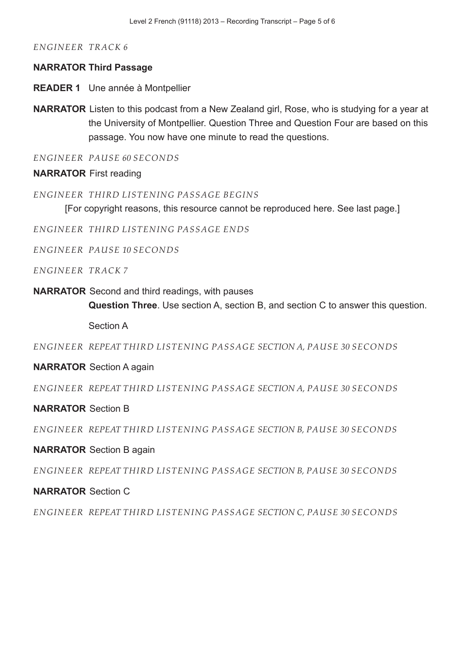#### **NARRATOR Third Passage**

**READER 1** Une année à Montpellier

**NARRATOR** Listen to this podcast from a New Zealand girl, Rose, who is studying for a year at the University of Montpellier. Question Three and Question Four are based on this passage. You now have one minute to read the questions.

*ENGINEER PAUSE 60 SECONDS*

## **NARRATOR** First reading

*ENGINEER THIRD LISTENING PASSAGE BEGINS*

[For copyright reasons, this resource cannot be reproduced here. See last page.]

*ENGINEER THIRD LISTENING PASSAGE ENDS*

*ENGINEER PAUSE 10 SECONDS*

*ENGINEER TRACK 7* 

**NARRATOR** Second and third readings, with pauses

**Question Three**. Use section A, section B, and section C to answer this question.

Section A

*ENGINEER REPEAT THIRD LISTENING PASSAGE SECTION A, PAUSE 30 SECONDS* 

## **NARRATOR** Section A again

*ENGINEER REPEAT THIRD LISTENING PASSAGE SECTION A, PAUSE 30 SECONDS* 

## **NARRATOR** Section B

*ENGINEER REPEAT THIRD LISTENING PASSAGE SECTION B, PAUSE 30 SECONDS* 

## **NARRATOR** Section B again

*ENGINEER REPEAT THIRD LISTENING PASSAGE SECTION B, PAUSE 30 SECONDS* 

## **NARRATOR** Section C

*ENGINEER REPEAT THIRD LISTENING PASSAGE SECTION C, PAUSE 30 SECONDS*